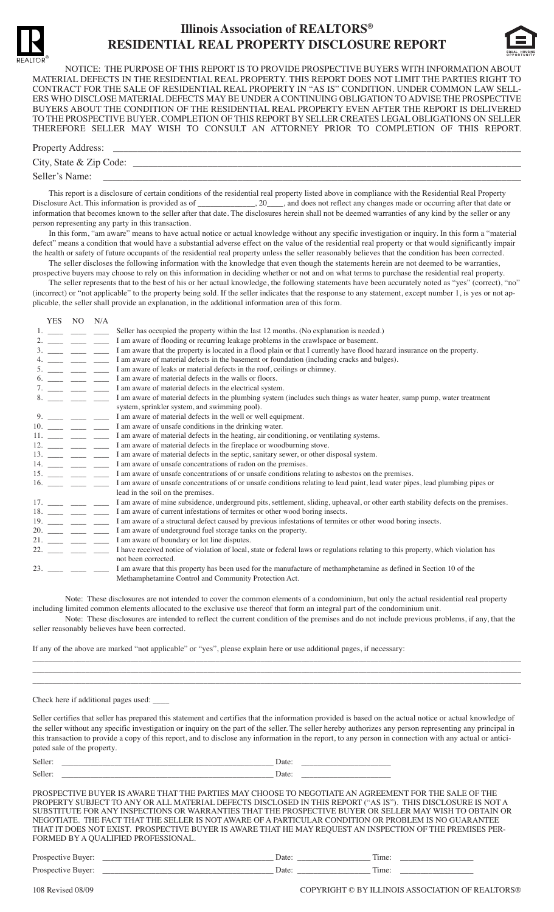

## **Illinois Association of REALTORS® RESIDENTIAL REAL PROPERTY DISCLOSURE REPORT**



NOTICE: THE PURPOSE OF THIS REPORT IS TO PROVIDE PROSPECTIVE BUYERS WITH INFORMATION ABOUT MATERIAL DEFECTS IN THE RESIDENTIAL REAL PROPERTY. THIS REPORT DOES NOT LIMIT THE PARTIES RIGHT TO CONTRACT FOR THE SALE OF RESIDENTIAL REAL PROPERTY IN "AS IS" CONDITION. UNDER COMMON LAW SELL-ERS WHO DISCLOSE MATERIAL DEFECTS MAY BE UNDER A CONTINUING OBLIGATION TO ADVISE THE PROSPECTIVE BUYERS ABOUT THE CONDITION OF THE RESIDENTIAL REAL PROPERTY EVEN AFTER THE REPORT IS DELIVERED TO THE PROSPECTIVE BUYER. COMPLETION OF THIS REPORT BY SELLER CREATES LEGAL OBLIGATIONS ON SELLER THEREFORE SELLER MAY WISH TO CONSULT AN ATTORNEY PRIOR TO COMPLETION OF THIS REPORT.

| <b>Property Address:</b> |  |
|--------------------------|--|
| City, State & Zip Code:  |  |
| Seller's Name:           |  |

This report is a disclosure of certain conditions of the residential real property listed above in compliance with the Residential Real Property Disclosure Act. This information is provided as of \_\_\_\_\_\_\_\_\_\_\_\_, 20\_\_\_\_, and does not reflect any changes made or occurring after that date or information that becomes known to the seller after that date. The disclosures herein shall not be deemed warranties of any kind by the seller or any person representing any party in this transaction.

In this form, "am aware" means to have actual notice or actual knowledge without any specific investigation or inquiry. In this form a "material defect" means a condition that would have a substantial adverse effect on the value of the residential real property or that would significantly impair the health or safety of future occupants of the residential real property unless the seller reasonably believes that the condition has been corrected.

The seller discloses the following information with the knowledge that even though the statements herein are not deemed to be warranties, prospective buyers may choose to rely on this information in deciding whether or not and on what terms to purchase the residential real property.

The seller represents that to the best of his or her actual knowledge, the following statements have been accurately noted as "yes" (correct), "no" (incorrect) or "not applicable" to the property being sold. If the seller indicates that the response to any statement, except number 1, is yes or not applicable, the seller shall provide an explanation, in the additional information area of this form.

|                         | YES NO N/A                                                                                                                                                                                                                                                                                                             |                                                                                                                                   |
|-------------------------|------------------------------------------------------------------------------------------------------------------------------------------------------------------------------------------------------------------------------------------------------------------------------------------------------------------------|-----------------------------------------------------------------------------------------------------------------------------------|
|                         | 1. $\frac{1}{2}$ $\frac{1}{2}$                                                                                                                                                                                                                                                                                         | Seller has occupied the property within the last 12 months. (No explanation is needed.)                                           |
|                         | 2. $\qquad \qquad \qquad$                                                                                                                                                                                                                                                                                              | I am aware of flooding or recurring leakage problems in the crawlspace or basement.                                               |
|                         | $3.$ $\qquad \qquad$                                                                                                                                                                                                                                                                                                   | I am aware that the property is located in a flood plain or that I currently have flood hazard insurance on the property.         |
|                         | 4.                                                                                                                                                                                                                                                                                                                     | I am aware of material defects in the basement or foundation (including cracks and bulges).                                       |
|                         | 5.                                                                                                                                                                                                                                                                                                                     | I am aware of leaks or material defects in the roof, ceilings or chimney.                                                         |
|                         | 6.                                                                                                                                                                                                                                                                                                                     | I am aware of material defects in the walls or floors.                                                                            |
|                         | 7.                                                                                                                                                                                                                                                                                                                     | I am aware of material defects in the electrical system.                                                                          |
|                         |                                                                                                                                                                                                                                                                                                                        | I am aware of material defects in the plumbing system (includes such things as water heater, sump pump, water treatment           |
|                         |                                                                                                                                                                                                                                                                                                                        | system, sprinkler system, and swimming pool).                                                                                     |
|                         | 9.                                                                                                                                                                                                                                                                                                                     | I am aware of material defects in the well or well equipment.                                                                     |
|                         | $10.$ $\qquad \qquad$                                                                                                                                                                                                                                                                                                  | I am aware of unsafe conditions in the drinking water.                                                                            |
|                         |                                                                                                                                                                                                                                                                                                                        | I am aware of material defects in the heating, air conditioning, or ventilating systems.                                          |
|                         |                                                                                                                                                                                                                                                                                                                        | I am aware of material defects in the fireplace or woodburning stove.                                                             |
|                         | $13.$ $\qquad \qquad$                                                                                                                                                                                                                                                                                                  | I am aware of material defects in the septic, sanitary sewer, or other disposal system.                                           |
|                         |                                                                                                                                                                                                                                                                                                                        | I am aware of unsafe concentrations of radon on the premises.                                                                     |
|                         |                                                                                                                                                                                                                                                                                                                        | I am aware of unsafe concentrations of or unsafe conditions relating to asbestos on the premises.                                 |
|                         | 16. $\frac{1}{2}$ $\frac{1}{2}$ $\frac{1}{2}$ $\frac{1}{2}$ $\frac{1}{2}$ $\frac{1}{2}$ $\frac{1}{2}$ $\frac{1}{2}$ $\frac{1}{2}$ $\frac{1}{2}$ $\frac{1}{2}$ $\frac{1}{2}$ $\frac{1}{2}$ $\frac{1}{2}$ $\frac{1}{2}$ $\frac{1}{2}$ $\frac{1}{2}$ $\frac{1}{2}$ $\frac{1}{2}$ $\frac{1}{2}$ $\frac{1}{2}$ $\frac{1}{2$ | I am aware of unsafe concentrations of or unsafe conditions relating to lead paint, lead water pipes, lead plumbing pipes or      |
|                         |                                                                                                                                                                                                                                                                                                                        | lead in the soil on the premises.                                                                                                 |
|                         |                                                                                                                                                                                                                                                                                                                        | I am aware of mine subsidence, underground pits, settlement, sliding, upheaval, or other earth stability defects on the premises. |
|                         |                                                                                                                                                                                                                                                                                                                        | I am aware of current infestations of termites or other wood boring insects.                                                      |
|                         |                                                                                                                                                                                                                                                                                                                        | I am aware of a structural defect caused by previous infestations of termites or other wood boring insects.                       |
|                         | $20.$ $\qquad \qquad$                                                                                                                                                                                                                                                                                                  | I am aware of underground fuel storage tanks on the property.                                                                     |
|                         |                                                                                                                                                                                                                                                                                                                        | I am aware of boundary or lot line disputes.                                                                                      |
| $22. \_ \_ \_ \_ \_ \_$ |                                                                                                                                                                                                                                                                                                                        | I have received notice of violation of local, state or federal laws or regulations relating to this property, which violation has |
|                         |                                                                                                                                                                                                                                                                                                                        | not been corrected.                                                                                                               |
|                         | 23. $\qquad \qquad$                                                                                                                                                                                                                                                                                                    | I am aware that this property has been used for the manufacture of methamphetamine as defined in Section 10 of the                |
|                         |                                                                                                                                                                                                                                                                                                                        | Methamphetamine Control and Community Protection Act.                                                                             |

Note: These disclosures are not intended to cover the common elements of a condominium, but only the actual residential real property including limited common elements allocated to the exclusive use thereof that form an integral part of the condominium unit.

Note: These disclosures are intended to reflect the current condition of the premises and do not include previous problems, if any, that the seller reasonably believes have been corrected.

\_\_\_\_\_\_\_\_\_\_\_\_\_\_\_\_\_\_\_\_\_\_\_\_\_\_\_\_\_\_\_\_\_\_\_\_\_\_\_\_\_\_\_\_\_\_\_\_\_\_\_\_\_\_\_\_\_\_\_\_\_\_\_\_\_\_\_\_\_\_\_\_\_\_\_\_\_\_\_\_\_\_\_\_\_\_\_\_\_\_\_\_\_\_\_\_\_\_\_\_\_\_\_\_\_\_\_\_\_\_\_\_\_\_\_\_\_\_\_\_ \_\_\_\_\_\_\_\_\_\_\_\_\_\_\_\_\_\_\_\_\_\_\_\_\_\_\_\_\_\_\_\_\_\_\_\_\_\_\_\_\_\_\_\_\_\_\_\_\_\_\_\_\_\_\_\_\_\_\_\_\_\_\_\_\_\_\_\_\_\_\_\_\_\_\_\_\_\_\_\_\_\_\_\_\_\_\_\_\_\_\_\_\_\_\_\_\_\_\_\_\_\_\_\_\_\_\_\_\_\_\_\_\_\_\_\_\_\_\_\_ \_\_\_\_\_\_\_\_\_\_\_\_\_\_\_\_\_\_\_\_\_\_\_\_\_\_\_\_\_\_\_\_\_\_\_\_\_\_\_\_\_\_\_\_\_\_\_\_\_\_\_\_\_\_\_\_\_\_\_\_\_\_\_\_\_\_\_\_\_\_\_\_\_\_\_\_\_\_\_\_\_\_\_\_\_\_\_\_\_\_\_\_\_\_\_\_\_\_\_\_\_\_\_\_\_\_\_\_\_\_\_\_\_\_\_\_\_\_\_\_

If any of the above are marked "not applicable" or "yes", please explain here or use additional pages, if necessary:

## Check here if additional pages used: \_\_\_\_

Seller certifies that seller has prepared this statement and certifies that the information provided is based on the actual notice or actual knowledge of the seller without any specific investigation or inquiry on the part of the seller. The seller hereby authorizes any person representing any principal in this transaction to provide a copy of this report, and to disclose any information in the report, to any person in connection with any actual or anticipated sale of the property.

| $\sim$ | ,我们也不会有什么?""我们的人,我们也不会有什么?""我们的人,我们也不会有什么?""我们的人,我们也不会有什么?""我们的人,我们也不会有什么?""我们的人 |
|--------|----------------------------------------------------------------------------------|
| $\sim$ | ,我们也不会有什么?""我们的人,我们也不会有什么?""我们的人,我们也不会有什么?""我们的人,我们也不会有什么?""我们的人,我们也不会有什么?""我们的人 |

PROSPECTIVE BUYER IS AWARE THAT THE PARTIES MAY CHOOSE TO NEGOTIATE AN AGREEMENT FOR THE SALE OF THE PROPERTY SUBJECT TO ANY OR ALL MATERIAL DEFECTS DISCLOSED IN THIS REPORT ("AS IS"). THIS DISCLOSURE IS NOT A SUBSTITUTE FOR ANY INSPECTIONS OR WARRANTIES THAT THE PROSPECTIVE BUYER OR SELLER MAY WISH TO OBTAIN OR NEGOTIATE. THE FACT THAT THE SELLER IS NOT AWARE OF A PARTICULAR CONDITION OR PROBLEM IS NO GUARANTEE THAT IT DOES NOT EXIST. PROSPECTIVE BUYER IS AWARE THAT HE MAY REQUEST AN INSPECTION OF THE PREMISES PER-FORMED BY A QUALIFIED PROFESSIONAL.

| -<br>IJ۳.  | Date: | $\overline{\phantom{a}}$<br><b>THILE</b> |  |
|------------|-------|------------------------------------------|--|
| $\sqrt{2}$ |       | $\overline{ }$                           |  |

Prospective Buyer: \_\_\_\_\_\_\_\_\_\_\_\_\_\_\_\_\_\_\_\_\_\_\_\_\_\_\_\_\_\_\_\_\_\_\_\_\_\_\_\_\_\_ Date: \_\_\_\_\_\_\_\_\_\_\_\_\_\_\_\_\_\_ Time: \_\_\_\_\_\_\_\_\_\_\_\_\_\_\_\_\_\_